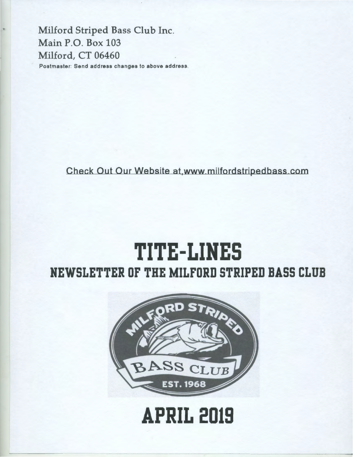Milford Striped Bass Club Inc. Main P.O. Box 103 Milford, CT 06460 Postmaster: Send address changes to above address.

Check Out Our Website at,www milfordstripedbass com

## **TITE-LINES NEWSLETTER OF THE MILFORD STRIPED BASS CLUB**



**APRIL 2019**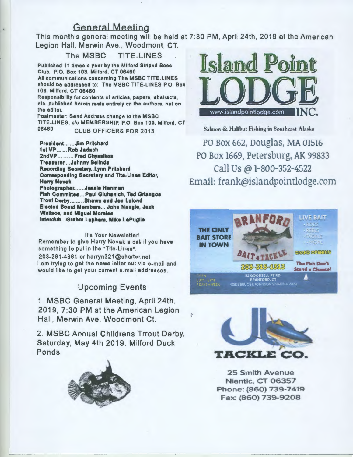### General Meeting

This month's general meeting will be held at 7:30 PM, April 24th, 2019 at the American Legion Hall, Merwin Ave., Woodmont, CT.

The MSBC TITE-LINES Published 11 times a year by the Milford Striped Bass Club. P.O. Box 103, Milford, CT 06460 All communications concerning The MSBC TITE.LINES should be addressed to: The MSBC TITE.LINES P.O. Box 103, Milford, CT 06460 Responsibility for contents of articles, papers, abstracts, etc. published herein rests entirely on the authors, not on the editor. Postmaster: Send Address change to the MSBC TITE-LINES, c/o MEMBERSHIP, P.O. Box 103, Milford, CT 06460 CLUB OFFICERS FOR 2013

President... ... Jim Pritchard 1st VP ...... Rob Jadach 2ndVP......... Fred Chyssikos Treasurer....Johnny Belinda Recording Secretary..Lynn Pritchard Corresponding Secretary and Tlte-Linea Editor, Harry Novak Photographer.......Jessie Henman Fish Committee ... Paul Gluhanlch, Ted Grlangoa Trout Derby........ Shawn and Jen Lalond Elected Board Members ... John Nangle, Jack Wallace, and Miguel Morales lnterclub ... Grahm Lapham, Mike LaPuglla

It's Your Newsletter! Remember to give Harry Novak a call if you have something to put in the "Tite-Lines".

203-261-4361 or harryn321@charter.net I am trying to get the news letter out via e-mail and would like to get your current e.mail addresses .

#### Upcoming Events

1. MSBC General Meeting, April 24th, 2019, 7:30 PM at the American Legion Hall, Merwin Ave. Woodmont Ct.

2. MSBC Annual Childrens Trrout Derby, Saturday, May 4th 2019. Milford Duck Ponds.





Salmon & Halibut Fishing in Southeast Alaska

PO Box 662, Douglas, MA 01516 PO Box 1669, Petersburg, AK 99833 call Us @ 1-800-352-4522 Email: frank@islandpointlodge.com





25 Smith Avenue Niantic. CT 06357 Phone: (860) 739-7419 Fax: (860) 739-9208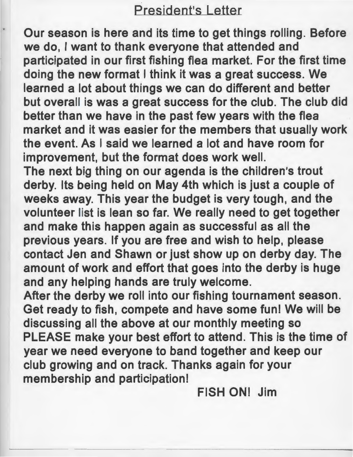### President's Letter

Our season is here and its time to get things rolling. Before we do, I want to thank everyone that attended and participated in our first fishing flea market. For the first time doing the new format I think it was a great success. We learned a lot about things we can do different and better but overall is was a great success for the club. The club did better than we have in the past few years with the flea market and it was easier for the members that usually work the event. As I said we learned a lot and have room for improvement, but the format does work well.

The next big thing on our agenda is the children's trout derby. Its being held on May 4th which is just a couple of weeks away. This year the budget is very tough, and the volunteer list is lean so far. We really need to get together and make this happen again as successful as all the previous years. If you are free and wish to help, please contact Jen and Shawn or just show up on derby day. The amount of work and effort that goes into the derby is huge and any helping hands are truly welcome.

After the derby we roll into our fishing tournament season. Get ready to fish, compete and have some fun! We will be discussing all the above at our monthly meeting so PLEASE make your best effort to attend. This is the time of year we need everyone to band together and keep our club growing and on track. Thanks again for your membership and participation!

FISH ONI Jim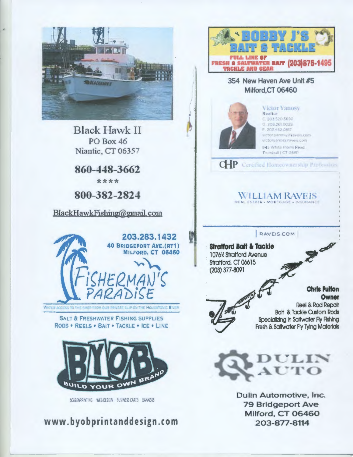

Black Hawk II PO Box 46 Niantic, CT 06357

860-448-3662 \*\*\*\*

800-382-2824

BlackHawkFishing@gmail.com



SALT & FRESHWATER FISHING SUPPLIES

RODS • REELS • BAIT • TACKLE • ICE • LINE.



KREENRING WEBDESIGN EUSINESSICADS BANKERS

www.byobprintanddesign.com



354 New Haven Ave Unit #5 Milford,CT 06460



**Victor Yanosy** Rpaltor C. 203.520.5690  $0.2032610028$ r 10~ *4"J* OSI7 yictor.yanosy.ineavers.com victory anosy, ravels, com-945 White Plains Road Trumbull | CT 0661

CHP Certified Homeownership Protession

 $\rm WILLI$ AM RAVEIS

RAVEIS COM

**Stratford Bait & Tackle 1076% Stratford Avenue** Stratford, CT 06615 (203) 377-8091

**Chris Fulton**<br>Owner Chris Fulton<br>Chris Fulton<br>Reel & Rod Repair Reel & Rod Repair Bait & Tackle Custom Rods Specializing In Saltwater Fly Fishing Fresh & Saltwater Fly Tying Materials

 $\rightarrow$ 



Dulin Automotive, Inc. 79 Bridgeport Ave Milford. CT 06460 203-877-8114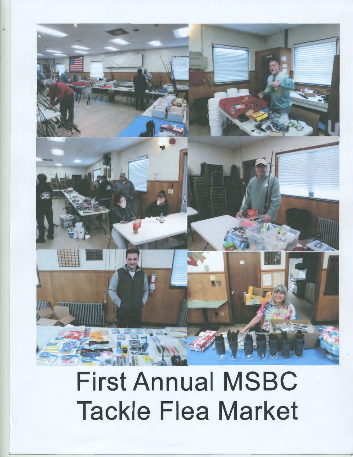

## First Annual MSBC Tackle Flea Market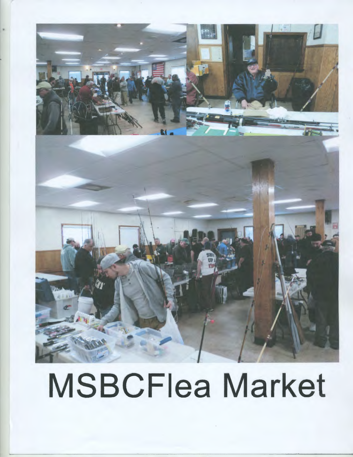

# MSBCFiea Market